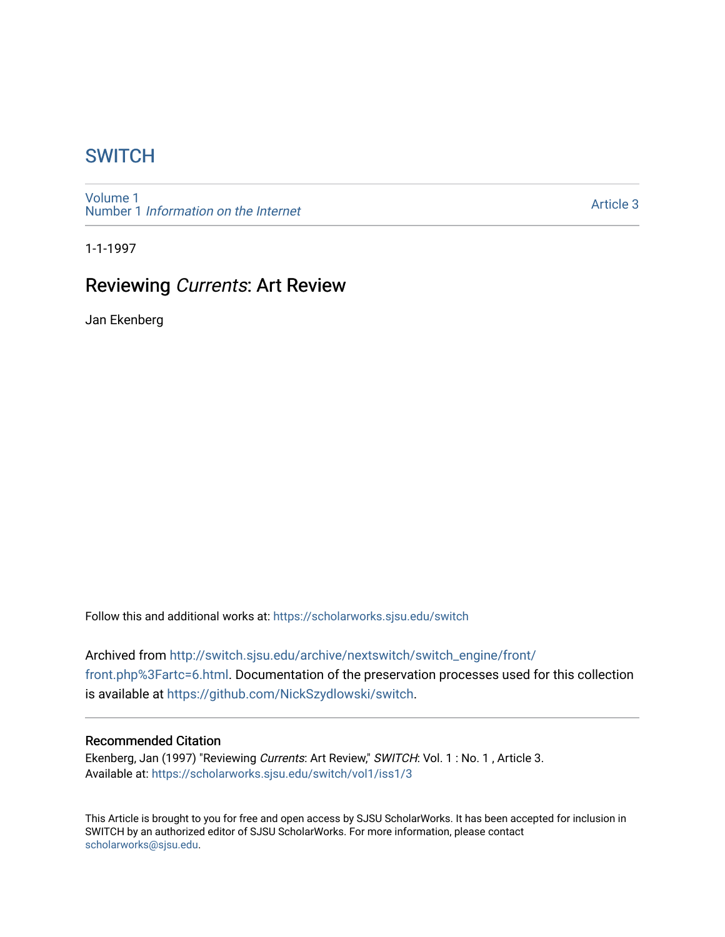# **SWITCH**

[Volume 1](https://scholarworks.sjsu.edu/switch/vol1) Number 1 [Information on the Internet](https://scholarworks.sjsu.edu/switch/vol1/iss1) 

[Article 3](https://scholarworks.sjsu.edu/switch/vol1/iss1/3) 

1-1-1997

# Reviewing Currents: Art Review

Jan Ekenberg

Follow this and additional works at: [https://scholarworks.sjsu.edu/switch](https://scholarworks.sjsu.edu/switch?utm_source=scholarworks.sjsu.edu%2Fswitch%2Fvol1%2Fiss1%2F3&utm_medium=PDF&utm_campaign=PDFCoverPages)

Archived from [http://switch.sjsu.edu/archive/nextswitch/switch\\_engine/front/](http://switch.sjsu.edu/archive/nextswitch/switch_engine/front/front.php%3Fartc=6.html) [front.php%3Fartc=6.html](http://switch.sjsu.edu/archive/nextswitch/switch_engine/front/front.php%3Fartc=6.html). Documentation of the preservation processes used for this collection is available at<https://github.com/NickSzydlowski/switch>.

### Recommended Citation

Ekenberg, Jan (1997) "Reviewing Currents: Art Review," SWITCH: Vol. 1 : No. 1 , Article 3. Available at: [https://scholarworks.sjsu.edu/switch/vol1/iss1/3](https://scholarworks.sjsu.edu/switch/vol1/iss1/3?utm_source=scholarworks.sjsu.edu%2Fswitch%2Fvol1%2Fiss1%2F3&utm_medium=PDF&utm_campaign=PDFCoverPages)

This Article is brought to you for free and open access by SJSU ScholarWorks. It has been accepted for inclusion in SWITCH by an authorized editor of SJSU ScholarWorks. For more information, please contact [scholarworks@sjsu.edu](mailto:scholarworks@sjsu.edu).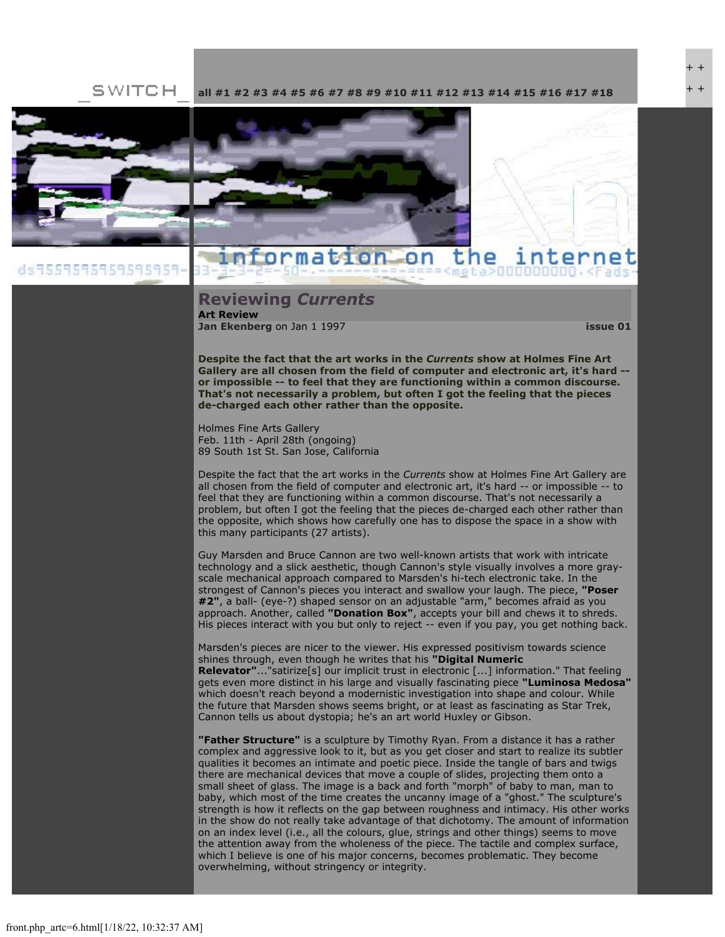SWITCH **[all](file:///Users/nszydlowski/Desktop/websites%20copy/Switch%20Journal/switch.sjsu.edu/archive/nextswitch/switch_engine/front/front.php.html) [#1](file:///Users/nszydlowski/Desktop/websites%20copy/Switch%20Journal/switch.sjsu.edu/archive/nextswitch/switch_engine/front/front.php_cat%3d5.html) [#2](file:///Users/nszydlowski/Desktop/websites%20copy/Switch%20Journal/switch.sjsu.edu/archive/nextswitch/switch_engine/front/front.php_cat%3d6.html) [#3](file:///Users/nszydlowski/Desktop/websites%20copy/Switch%20Journal/switch.sjsu.edu/archive/nextswitch/switch_engine/front/front.php_cat%3d7.html) [#4](file:///Users/nszydlowski/Desktop/websites%20copy/Switch%20Journal/switch.sjsu.edu/archive/nextswitch/switch_engine/front/front.php_cat%3d8.html) [#5](file:///Users/nszydlowski/Desktop/websites%20copy/Switch%20Journal/switch.sjsu.edu/archive/nextswitch/switch_engine/front/front.php_cat%3d9.html) [#6](file:///Users/nszydlowski/Desktop/websites%20copy/Switch%20Journal/switch.sjsu.edu/archive/nextswitch/switch_engine/front/front.php_cat%3d10.html) [#7](file:///Users/nszydlowski/Desktop/websites%20copy/Switch%20Journal/switch.sjsu.edu/archive/nextswitch/switch_engine/front/front.php_cat%3d11.html) [#8](file:///Users/nszydlowski/Desktop/websites%20copy/Switch%20Journal/switch.sjsu.edu/archive/nextswitch/switch_engine/front/front.php_cat%3d12.html) [#9](file:///Users/nszydlowski/Desktop/websites%20copy/Switch%20Journal/switch.sjsu.edu/archive/nextswitch/switch_engine/front/front.php_cat%3d13.html) [#10](file:///Users/nszydlowski/Desktop/websites%20copy/Switch%20Journal/switch.sjsu.edu/archive/nextswitch/switch_engine/front/front.php_cat%3d14.html) [#11](file:///Users/nszydlowski/Desktop/websites%20copy/Switch%20Journal/switch.sjsu.edu/archive/nextswitch/switch_engine/front/front.php_cat%3d15.html) [#12](file:///Users/nszydlowski/Desktop/websites%20copy/Switch%20Journal/switch.sjsu.edu/archive/nextswitch/switch_engine/front/front.php_cat%3d16.html) [#13](file:///Users/nszydlowski/Desktop/websites%20copy/Switch%20Journal/switch.sjsu.edu/archive/nextswitch/switch_engine/front/front.php_cat%3d17.html) [#14](file:///Users/nszydlowski/Desktop/websites%20copy/Switch%20Journal/switch.sjsu.edu/archive/nextswitch/switch_engine/front/front.php_cat%3d18.html) [#15](file:///Users/nszydlowski/Desktop/websites%20copy/Switch%20Journal/switch.sjsu.edu/archive/nextswitch/switch_engine/front/front.php_cat%3d19.html) [#16](file:///Users/nszydlowski/Desktop/websites%20copy/Switch%20Journal/switch.sjsu.edu/archive/nextswitch/switch_engine/front/front.php_cat%3d20.html) [#17](file:///Users/nszydlowski/Desktop/websites%20copy/Switch%20Journal/switch.sjsu.edu/archive/nextswitch/switch_engine/front/front.php_cat%3d21.html) [#18](file:///Users/nszydlowski/Desktop/websites%20copy/Switch%20Journal/switch.sjsu.edu/archive/nextswitch/switch_engine/front/front.php_cat%3d44.html)**



#### nformation on the

#### **Reviewing** *Currents* **Art Review**

**[Jan Ekenberg](file:///Users/nszydlowski/Desktop/websites%20copy/Switch%20Journal/switch.sjsu.edu/archive/nextswitch/switch_engine/front/users.php_w%3d9.html)** on Jan 1 1997 **[issue 01](file:///Users/nszydlowski/Desktop/websites%20copy/Switch%20Journal/switch.sjsu.edu/archive/nextswitch/switch_engine/front/front.php_cat%3d5.html)**

+ + + +

**Despite the fact that the art works in the** *Currents* **show at Holmes Fine Art Gallery are all chosen from the field of computer and electronic art, it's hard - or impossible -- to feel that they are functioning within a common discourse. That's not necessarily a problem, but often I got the feeling that the pieces de-charged each other rather than the opposite.** 

Holmes Fine Arts Gallery Feb. 11th - April 28th (ongoing) 89 South 1st St. San Jose, California

Despite the fact that the art works in the *Currents* show at Holmes Fine Art Gallery are all chosen from the field of computer and electronic art, it's hard -- or impossible -- to feel that they are functioning within a common discourse. That's not necessarily a problem, but often I got the feeling that the pieces de-charged each other rather than the opposite, which shows how carefully one has to dispose the space in a show with this many participants (27 artists).

Guy Marsden and Bruce Cannon are two well-known artists that work with intricate technology and a slick aesthetic, though Cannon's style visually involves a more grayscale mechanical approach compared to Marsden's hi-tech electronic take. In the strongest of Cannon's pieces you interact and swallow your laugh. The piece, **"Poser #2"**, a ball- (eye-?) shaped sensor on an adjustable "arm," becomes afraid as you approach. Another, called **"Donation Box"**, accepts your bill and chews it to shreds. His pieces interact with you but only to reject -- even if you pay, you get nothing back.

Marsden's pieces are nicer to the viewer. His expressed positivism towards science shines through, even though he writes that his **"Digital Numeric Relevator"**..."satirize[s] our implicit trust in electronic [...] information." That feeling gets even more distinct in his large and visually fascinating piece **"Luminosa Medosa"** which doesn't reach beyond a modernistic investigation into shape and colour. While the future that Marsden shows seems bright, or at least as fascinating as Star Trek, Cannon tells us about dystopia; he's an art world Huxley or Gibson.

**"Father Structure"** is a sculpture by Timothy Ryan. From a distance it has a rather complex and aggressive look to it, but as you get closer and start to realize its subtler qualities it becomes an intimate and poetic piece. Inside the tangle of bars and twigs there are mechanical devices that move a couple of slides, projecting them onto a small sheet of glass. The image is a back and forth "morph" of baby to man, man to baby, which most of the time creates the uncanny image of a "ghost." The sculpture's strength is how it reflects on the gap between roughness and intimacy. His other works in the show do not really take advantage of that dichotomy. The amount of information on an index level (i.e., all the colours, glue, strings and other things) seems to move the attention away from the wholeness of the piece. The tactile and complex surface, which I believe is one of his major concerns, becomes problematic. They become overwhelming, without stringency or integrity.

ds9559595959595959-